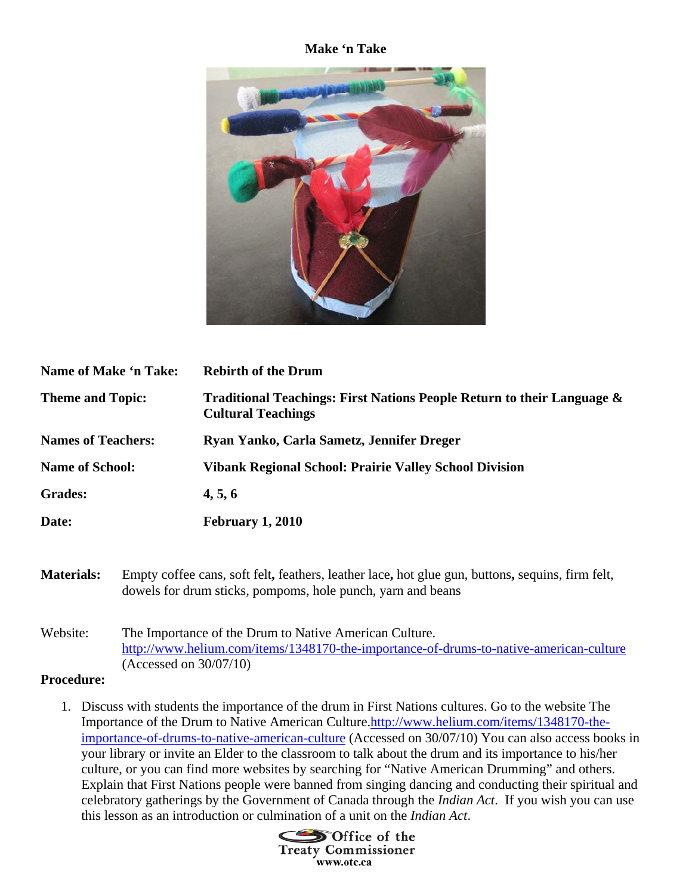## **Make 'n Take**



| Name of Make 'n Take:     |                                                                                                                                                                 | <b>Rebirth of the Drum</b>                                                                          |
|---------------------------|-----------------------------------------------------------------------------------------------------------------------------------------------------------------|-----------------------------------------------------------------------------------------------------|
| <b>Theme and Topic:</b>   |                                                                                                                                                                 | Traditional Teachings: First Nations People Return to their Language &<br><b>Cultural Teachings</b> |
| <b>Names of Teachers:</b> |                                                                                                                                                                 | Ryan Yanko, Carla Sametz, Jennifer Dreger                                                           |
| <b>Name of School:</b>    |                                                                                                                                                                 | <b>Vibank Regional School: Prairie Valley School Division</b>                                       |
| <b>Grades:</b>            |                                                                                                                                                                 | 4, 5, 6                                                                                             |
| Date:                     |                                                                                                                                                                 | <b>February 1, 2010</b>                                                                             |
|                           |                                                                                                                                                                 |                                                                                                     |
| <b>Materials:</b>         | Empty coffee cans, soft felt, feathers, leather lace, hot glue gun, buttons, sequins, firm felt,<br>dowels for drum sticks, pompoms, hole punch, yarn and beans |                                                                                                     |

Website: The Importance of the Drum to Native American Culture. http://www.helium.com/items/1348170-the-importance-of-drums-to-native-american-culture (Accessed on 30/07/10)

## **Procedure:**

1. Discuss with students the importance of the drum in First Nations cultures. Go to the website The Importance of the Drum to Native American Culture.http://www.helium.com/items/1348170-theimportance-of-drums-to-native-american-culture (Accessed on 30/07/10) You can also access books in your library or invite an Elder to the classroom to talk about the drum and its importance to his/her culture, or you can find more websites by searching for "Native American Drumming" and others. Explain that First Nations people were banned from singing dancing and conducting their spiritual and celebratory gatherings by the Government of Canada through the *Indian Act*. If you wish you can use this lesson as an introduction or culmination of a unit on the *Indian Act*.